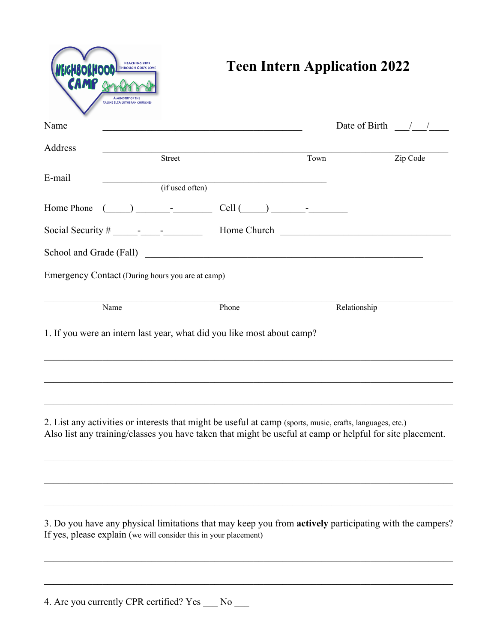| Name                                             |                                                                                                                                                                                                                                                                                                                                                     |                                                                                                                                                                                                                                      |      | Date of Birth $\frac{1}{2}$ |
|--------------------------------------------------|-----------------------------------------------------------------------------------------------------------------------------------------------------------------------------------------------------------------------------------------------------------------------------------------------------------------------------------------------------|--------------------------------------------------------------------------------------------------------------------------------------------------------------------------------------------------------------------------------------|------|-----------------------------|
| Address                                          | Street                                                                                                                                                                                                                                                                                                                                              |                                                                                                                                                                                                                                      | Town | Zip Code                    |
| E-mail                                           |                                                                                                                                                                                                                                                                                                                                                     |                                                                                                                                                                                                                                      |      |                             |
|                                                  | $(i$ f used often)                                                                                                                                                                                                                                                                                                                                  |                                                                                                                                                                                                                                      |      |                             |
| Home Phone                                       | $\begin{picture}(20,10) \put(0,0){\line(1,0){10}} \put(15,0){\line(1,0){10}} \put(15,0){\line(1,0){10}} \put(15,0){\line(1,0){10}} \put(15,0){\line(1,0){10}} \put(15,0){\line(1,0){10}} \put(15,0){\line(1,0){10}} \put(15,0){\line(1,0){10}} \put(15,0){\line(1,0){10}} \put(15,0){\line(1,0){10}} \put(15,0){\line(1,0){10}} \put(15,0){\line(1$ | $Cell$ $\qquad \qquad$                                                                                                                                                                                                               |      |                             |
|                                                  |                                                                                                                                                                                                                                                                                                                                                     |                                                                                                                                                                                                                                      |      |                             |
|                                                  |                                                                                                                                                                                                                                                                                                                                                     | School and Grade (Fall) <u>Container and Container and Container and Container and Container and Container and Container and Container and Container and Container and Container and Container and Container and Container and C</u> |      |                             |
| Emergency Contact (During hours you are at camp) |                                                                                                                                                                                                                                                                                                                                                     |                                                                                                                                                                                                                                      |      |                             |
| Name                                             |                                                                                                                                                                                                                                                                                                                                                     |                                                                                                                                                                                                                                      |      |                             |
|                                                  |                                                                                                                                                                                                                                                                                                                                                     | Phone                                                                                                                                                                                                                                |      | Relationship                |
|                                                  |                                                                                                                                                                                                                                                                                                                                                     | 1. If you were an intern last year, what did you like most about camp?                                                                                                                                                               |      |                             |
|                                                  |                                                                                                                                                                                                                                                                                                                                                     | 2. List any activities or interests that might be useful at camp (sports, music, crafts, languages, etc.)<br>Also list any training/classes you have taken that might be useful at camp or helpful for site placement.               |      |                             |